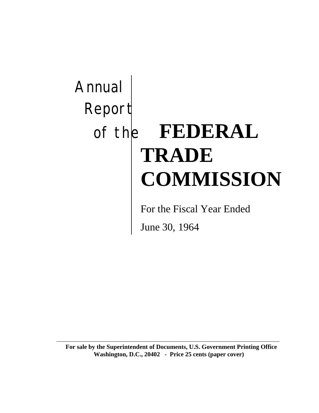# Annual Report of the **FEDERAL TRADE COMMISSION**

For the Fiscal Year Ended

June 30, 1964

**For sale by the Superintendent of Documents, U.S. Government Printing Office Washington, D.C., 20402 - Price 25 cents (paper cover)**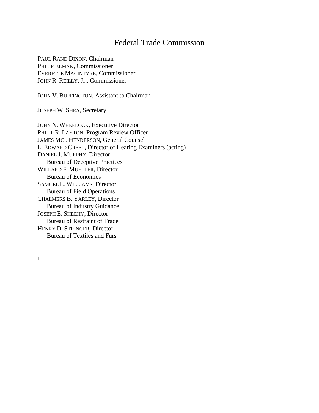## Federal Trade Commission

PAUL RAND DIXON, Chairman PHILIP ELMAN, Commissioner EVERETTE MACINTYRE, Commissioner JOHN R. REILLY, Jr., Commissioner

JOHN V. BUFFINGTON, Assistant to Chairman

JOSEPH W. SHEA, Secretary

JOHN N. WHEELOCK, Executive Director PHILIP R. LAYTON, Program Review Officer JAMES MCI. HENDERSON, General Counsel L. EDWARD CREEL, Director of Hearing Examiners (acting) DANIEL J. MURPHY, Director Bureau of Deceptive Practices WILLARD F. MUELLER, Director Bureau of Economics SAMUEL L. WILLIAMS, Director Bureau of Field Operations CHALMERS B. YARLEY, Director Bureau of Industry Guidance JOSEPH E. SHEEHY, Director Bureau of Restraint of Trade HENRY D. STRINGER, Director Bureau of Textiles and Furs

ii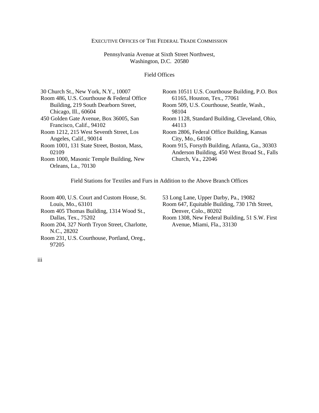#### EXECUTIVE OFFICES OF THE FEDERAL TRADE COMMISSION

Pennsylvania Avenue at Sixth Street Northwest, Washington, D.C. 20580

Field Offices

| 30 Church St., New York, N.Y., 10007                               | Room 10511 U.S. Courthouse Building, P.O. Box                                                   |
|--------------------------------------------------------------------|-------------------------------------------------------------------------------------------------|
| Room 486, U.S. Courthouse & Federal Office                         | 61165, Houston, Tex., 77061                                                                     |
| Building, 219 South Dearborn Street,                               | Room 509, U.S. Courthouse, Seattle, Wash.,                                                      |
| Chicago, Ill., 60604                                               | 98104                                                                                           |
| 450 Golden Gate Avenue, Box 36005, San<br>Francisco, Calif., 94102 | Room 1128, Standard Building, Cleveland, Ohio,<br>44113                                         |
| Room 1212, 215 West Seventh Street, Los<br>Angeles, Calif., 90014  | Room 2806, Federal Office Building, Kansas<br>City, Mo., 64106                                  |
| Room 1001, 131 State Street, Boston, Mass,<br>02109                | Room 915, Forsyth Building, Atlanta, Ga., 30303<br>Anderson Building, 450 West Broad St., Falls |
| Room 1000, Masonic Temple Building, New<br>Orleans, La., 70130     | Church, Va., 22046                                                                              |
|                                                                    |                                                                                                 |

Field Stations for Textiles and Furs in Addition to the Above Branch Offices

Room 400, U.S. Court and Custom House, St. Louis, Mo., 63101 Room 405 Thomas Building, 1314 Wood St., Dallas, Tex., 75202 Room 204, 327 North Tryon Street, Charlotte, N.C., 28202

Room 231, U.S. Courthouse, Portland, Oreg., 97205

53 Long Lane, Upper Darby, Pa., 19082

Room 647, Equitable Building, 730 17th Street, Denver, Colo., 80202

Room 1308, New Federal Building, 51 S.W. First Avenue, Miami, Fla., 33130

iii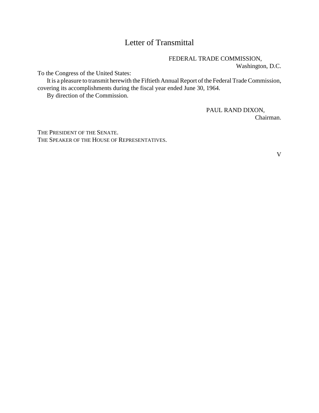## Letter of Transmittal

FEDERAL TRADE COMMISSION,

Washington, D.C.

To the Congress of the United States:

It is a pleasure to transmit herewith the Fiftieth Annual Report of the Federal Trade Commission, covering its accomplishments during the fiscal year ended June 30, 1964.

By direction of the Commission.

PAUL RAND DIXON,

Chairman.

THE PRESIDENT OF THE SENATE. THE SPEAKER OF THE HOUSE OF REPRESENTATIVES.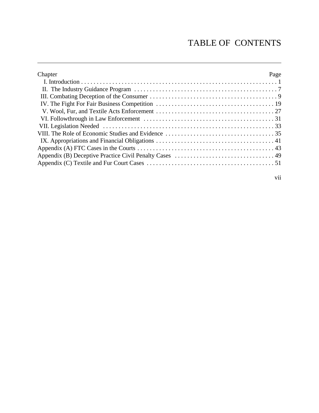## TABLE OF CONTENTS

| Chapter | Page |
|---------|------|
|         |      |
|         |      |
|         |      |
|         |      |
|         |      |
|         |      |
|         |      |
|         |      |
|         |      |
|         |      |
|         |      |
|         |      |
|         |      |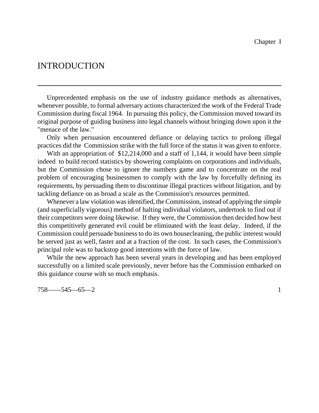## INTRODUCTION

Unprecedented emphasis on the use of industry guidance methods as alternatives, whenever possible, to formal adversary actions characterized the work of the Federal Trade Commission during fiscal 1964. In pursuing this policy, the Commission moved toward its original purpose of guiding business into legal channels without bringing down upon it the "menace of the law."

Only when persuasion encountered defiance or delaying tactics to prolong illegal practices did the Commission strike with the full force of the status it was given to enforce.

With an appropriation of \$12,214,000 and a staff of 1,144, it would have been simple indeed to build record statistics by showering complaints on corporations and individuals, but the Commission chose to ignore the numbers game and to concentrate on the real problem of encouraging businessmen to comply with the law by forcefully defining its requirements, by persuading them to discontinue illegal practices without litigation, and by tackling defiance on as broad a scale as the Commission's resources permitted.

Whenever a law violation was identified, the Commission, instead of applying the simple (and superficially vigorous) method of halting individual violators, undertook to find out if their competitors were doing likewise. If they were, the Commission then decided how best this competitively generated evil could be eliminated with the least delay. Indeed, if the Commission could persuade business to do its own house cleaning, the public interest would be served just as well, faster and at a fraction of the cost. In such cases, the Commission's principal role was to backstop good intentions with the force of law.

While the new approach has been several years in developing and has been employed successfully on a limited scale previously, never before has the Commission embarked on this guidance course with so much emphasis.

758——545—65—2 1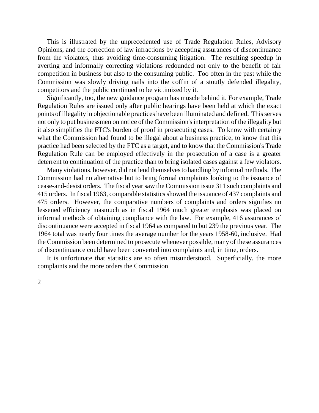This is illustrated by the unprecedented use of Trade Regulation Rules, Advisory Opinions, and the correction of law infractions by accepting assurances of discontinuance from the violators, thus avoiding time-consuming litigation. The resulting speedup in averting and informally correcting violations redounded not only to the benefit of fair competition in business but also to the consuming public. Too often in the past while the Commission was slowly driving nails into the coffin of a stoutly defended illegality, competitors and the public continued to be victimized by it.

Significantly, too, the new guidance program has muscle behind it. For example, Trade Regulation Rules are issued only after public hearings have been held at which the exact points of illegality in objectionable practices have been illuminated and defined. This serves not only to put businessmen on notice of the Commission'sinterpretation of the illegality but it also simplifies the FTC's burden of proof in prosecuting cases. To know with certainty what the Commission had found to be illegal about a business practice, to know that this practice had been selected by the FTC as a target, and to know that the Commission's Trade Regulation Rule can be employed effectively in the prosecution of a case is a greater deterrent to continuation of the practice than to bring isolated cases against a few violators.

Many violations, however, did not lend themselves to handling by informal methods. The Commission had no alternative but to bring formal complaints looking to the issuance of cease-and-desist orders. The fiscal year saw the Commission issue 311 such complaints and 415 orders. In fiscal 1963, comparable statistics showed the issuance of 437 complaints and 475 orders. However, the comparative numbers of complaints and orders signifies no lessened efficiency inasmuch as in fiscal 1964 much greater emphasis was placed on informal methods of obtaining compliance with the law. For example, 416 assurances of discontinuance were accepted in fiscal 1964 as compared to but 239 the previous year. The 1964 total was nearly four times the average number for the years 1958-60, inclusive. Had the Commission been determined to prosecute whenever possible, many of these assurances of discontinuance could have been converted into complaints and, in time, orders.

It is unfortunate that statistics are so often misunderstood. Superficially, the more complaints and the more orders the Commission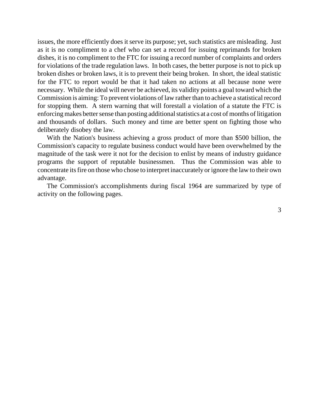issues, the more efficiently does it serve its purpose; yet, such statistics are misleading. Just as it is no compliment to a chef who can set a record for issuing reprimands for broken dishes, it is no compliment to the FTC for issuing a record number of complaints and orders for violations of the trade regulation laws. In both cases, the better purpose is not to pick up broken dishes or broken laws, it is to prevent their being broken. In short, the ideal statistic for the FTC to report would be that it had taken no actions at all because none were necessary. While the ideal will never be achieved, its validity points a goal toward which the Commission is aiming: To prevent violations of law rather than to achieve a statistical record for stopping them. A stern warning that will forestall a violation of a statute the FTC is enforcing makes better sense than posting additional statistics at a cost of months of litigation and thousands of dollars. Such money and time are better spent on fighting those who deliberately disobey the law.

With the Nation's business achieving a gross product of more than \$500 billion, the Commission's capacity to regulate business conduct would have been overwhelmed by the magnitude of the task were it not for the decision to enlist by means of industry guidance programs the support of reputable businessmen. Thus the Commission was able to concentrate itsfire on those who chose to interpret inaccurately or ignore the law to their own advantage.

The Commission's accomplishments during fiscal 1964 are summarized by type of activity on the following pages.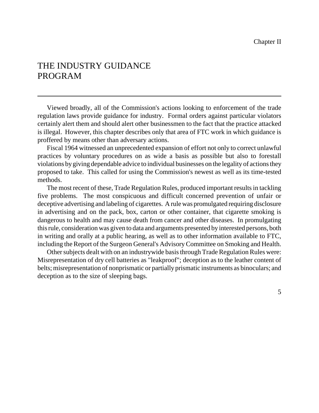## THE INDUSTRY GUIDANCE PROGRAM

Viewed broadly, all of the Commission's actions looking to enforcement of the trade regulation laws provide guidance for industry. Formal orders against particular violators certainly alert them and should alert other businessmen to the fact that the practice attacked is illegal. However, this chapter describes only that area of FTC work in which guidance is proffered by means other than adversary actions.

Fiscal 1964 witnessed an unprecedented expansion of effort not only to correct unlawful practices by voluntary procedures on as wide a basis as possible but also to forestall violations bygiving dependable advice to individual businesses on the legality of actions they proposed to take. This called for using the Commission's newest as well as its time-tested methods.

The most recent of these, Trade Regulation Rules, produced important results in tackling five problems. The most conspicuous and difficult concerned prevention of unfair or deceptive advertising and labeling of cigarettes. A rule was promulgated requiring disclosure in advertising and on the pack, box, carton or other container, that cigarette smoking is dangerous to health and may cause death from cancer and other diseases. In promulgating thisrule, consideration was given to data and arguments presented by interested persons, both in writing and orally at a public hearing, as well as to other information available to FTC, including the Report of the Surgeon General's AdvisoryCommittee on Smoking and Health.

Other subjects dealt with on an industrywide basis through Trade Regulation Rules were: Misrepresentation of dry cell batteries as "leakproof"; deception as to the leather content of belts; misrepresentation of nonprismatic or partially prismatic instruments as binoculars; and deception as to the size of sleeping bags.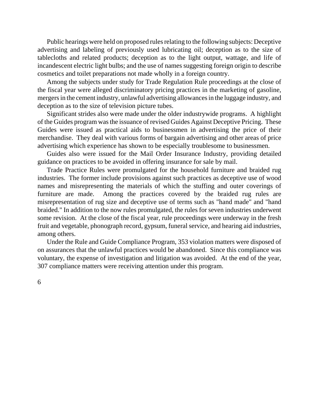Public hearings were held on proposed rules relating to the following subjects: Deceptive advertising and labeling of previously used lubricating oil; deception as to the size of tablecloths and related products; deception as to the light output, wattage, and life of incandescent electric light bulbs; and the use of names suggesting foreign origin to describe cosmetics and toilet preparations not made wholly in a foreign country.

Among the subjects under study for Trade Regulation Rule proceedings at the close of the fiscal year were alleged discriminatory pricing practices in the marketing of gasoline, mergers in the cement industry, unlawful advertising allowances in the luggage industry, and deception as to the size of television picture tubes.

Significant strides also were made under the older industrywide programs. A highlight of the Guides program wasthe issuance of revised Guides Against Deceptive Pricing. These Guides were issued as practical aids to businessmen in advertising the price of their merchandise. They deal with various forms of bargain advertising and other areas of price advertising which experience has shown to be especially troublesome to businessmen.

Guides also were issued for the Mail Order Insurance Industry, providing detailed guidance on practices to be avoided in offering insurance for sale by mail.

Trade Practice Rules were promulgated for the household furniture and braided rug industries. The former include provisions against such practices as deceptive use of wood names and misrepresenting the materials of which the stuffing and outer coverings of furniture are made. Among the practices covered by the braided rug rules are misrepresentation of rug size and deceptive use of terms such as "hand made" and "hand braided." In addition to the now rules promulgated, the rules for seven industries underwent some revision. At the close of the fiscal year, rule proceedings were underway in the fresh fruit and vegetable, phonograph record, gypsum, funeral service, and hearing aid industries, among others.

Under the Rule and Guide Compliance Program, 353 violation matters were disposed of on assurances that the unlawful practices would be abandoned. Since this compliance was voluntary, the expense of investigation and litigation was avoided. At the end of the year, 307 compliance matters were receiving attention under this program.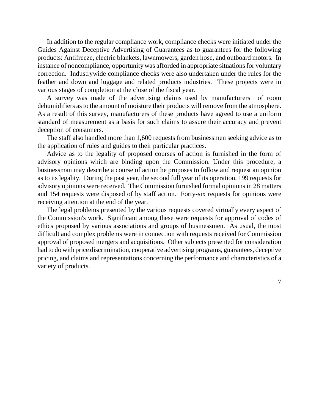In addition to the regular compliance work, compliance checks were initiated under the Guides Against Deceptive Advertising of Guarantees as to guarantees for the following products: Antifreeze, electric blankets, lawnmowers, garden hose, and outboard motors. In instance of noncompliance, opportunity was afforded in appropriate situations for voluntary correction. Industrywide compliance checks were also undertaken under the rules for the feather and down and luggage and related products industries. These projects were in various stages of completion at the close of the fiscal year.

A survey was made of the advertising claims used by manufacturers of room dehumidifiers as to the amount of moisture their products will remove from the atmosphere. As a result of this survey, manufacturers of these products have agreed to use a uniform standard of measurement as a basis for such claims to assure their accuracy and prevent deception of consumers.

The staff also handled more than 1,600 requests from businessmen seeking advice as to the application of rules and guides to their particular practices.

Advice as to the legality of proposed courses of action is furnished in the form of advisory opinions which are binding upon the Commission. Under this procedure, a businessman may describe a course of action he proposes to follow and request an opinion as to its legality. During the past year, the second full year of its operation, 199 requests for advisory opinions were received. The Commission furnished formal opinions in 28 matters and 154 requests were disposed of by staff action. Forty-six requests for opinions were receiving attention at the end of the year.

The legal problems presented by the various requests covered virtually every aspect of the Commission's work. Significant among these were requests for approval of codes of ethics proposed by various associations and groups of businessmen. As usual, the most difficult and complex problems were in connection with requests received for Commission approval of proposed mergers and acquisitions. Other subjects presented for consideration had to do with price discrimination, cooperative advertising programs, guarantees, deceptive pricing, and claims and representations concerning the performance and characteristics of a variety of products.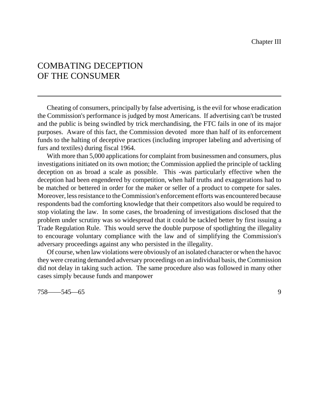## COMBATING DECEPTION OF THE CONSUMER

Cheating of consumers, principally by false advertising, is the evil for whose eradication the Commission's performance is judged by most Americans. If advertising can't be trusted and the public is being swindled by trick merchandising, the FTC fails in one of its major purposes. Aware of this fact, the Commission devoted more than half of its enforcement funds to the halting of deceptive practices (including improper labeling and advertising of furs and textiles) during fiscal 1964.

With more than 5,000 applications for complaint from businessmen and consumers, plus investigations initiated on its own motion; the Commission applied the principle of tackling deception on as broad a scale as possible. This -was particularly effective when the deception had been engendered by competition, when half truths and exaggerations had to be matched or bettered in order for the maker or seller of a product to compete for sales. Moreover, less resistance to the Commission's enforcement efforts was encountered because respondents bad the comforting knowledge that their competitors also would be required to stop violating the law. In some cases, the broadening of investigations disclosed that the problem under scrutiny was so widespread that it could be tackled better by first issuing a Trade Regulation Rule. This would serve the double purpose of spotlighting the illegality to encourage voluntary compliance with the law and of simplifying the Commission's adversary proceedings against any who persisted in the illegality.

Of course, when law violations were obviously of an isolated character or when the havoc they were creating demanded adversary proceedings on an individual basis, the Commission did not delay in taking such action. The same procedure also was followed in many other cases simply because funds and manpower

758——545—65 9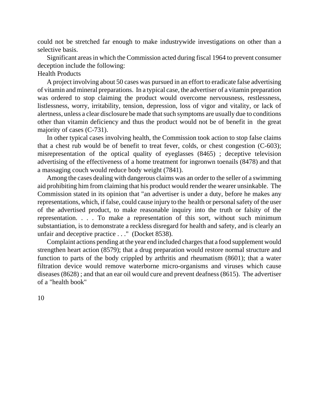could not be stretched far enough to make industrywide investigations on other than a selective basis.

Significant areas in which the Commission acted during fiscal 1964 to prevent consumer deception include the following:

#### Health Products

A project involving about 50 cases was pursued in an effort to eradicate false advertising of vitamin and mineral preparations. In a typical case, the advertiser of a vitamin preparation was ordered to stop claiming the product would overcome nervousness, restlessness, listlessness, worry, irritability, tension, depression, loss of vigor and vitality, or lack of alertness, unless a clear disclosure be made that such symptoms are usually due to conditions other than vitamin deficiency and thus the product would not be of benefit in the great majority of cases (C-731).

In other typical cases involving health, the Commission took action to stop false claims that a chest rub would be of benefit to treat fever, colds, or chest congestion (C-603); misrepresentation of the optical quality of eyeglasses (8465) ; deceptive television advertising of the effectiveness of a home treatment for ingronwn toenails (8478) and that a massaging couch would reduce body weight (7841).

Among the cases dealing with dangerous claims was an order to the seller of a swimming aid prohibiting him from claiming that his product would render the wearer unsinkable. The Commission stated in its opinion that "an advertiser is under a duty, before he makes any representations, which, if false, could cause injury to the health or personal safety of the user of the advertised product, to make reasonable inquiry into the truth or falsity of the representation. . . . To make a representation of this sort, without such minimum substantiation, is to demonstrate a reckless disregard for health and safety, and is clearly an unfair and deceptive practice . . ." (Docket 8538).

Complaint actions pending at the year end included charges that a food supplement would strengthen heart action (8579); that a drug preparation would restore normal structure and function to parts of the body crippled by arthritis and rheumatism (8601); that a water filtration device would remove waterborne micro-organisms and viruses which cause diseases (8628) ; and that an ear oil would cure and prevent deafness (8615). The advertiser of a "health book"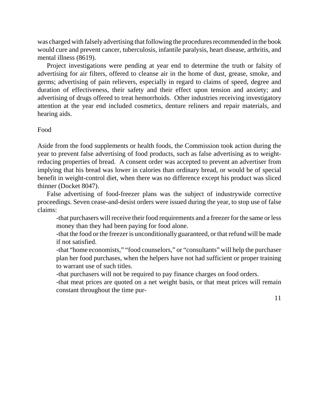was charged with falsely advertising that following the procedures recommended in the book would cure and prevent cancer, tuberculosis, infantile paralysis, heart disease, arthritis, and mental illness (8619).

Project investigations were pending at year end to determine the truth or falsity of advertising for air filters, offered to cleanse air in the home of dust, grease, smoke, and germs; advertising of pain relievers, especially in regard to claims of speed, degree and duration of effectiveness, their safety and their effect upon tension and anxiety; and advertising of drugs offered to treat hemorrhoids. Other industries receiving investigatory attention at the year end included cosmetics, denture reliners and repair materials, and hearing aids.

#### Food

Aside from the food supplements or health foods, the Commission took action during the year to prevent false advertising of food products, such as false advertising as to weightreducing properties of bread. A consent order was accepted to prevent an advertiser from implying that his bread was lower in calories than ordinary bread, or would be of special benefit in weight-control diet, when there was no difference except his product was sliced thinner (Docket 8047).

False advertising of food-freezer plans was the subject of industrywide corrective proceedings. Seven cease-and-desist orders were issued during the year, to stop use of false claims:

-that purchasers will receive their food requirements and a freezer for the same or less money than they had been paying for food alone.

-that the food or the freezer is unconditionally guaranteed, or that refund will be made if not satisfied.

-that "home economists," "food counselors," or "consultants" will help the purchaser plan her food purchases, when the helpers have not had sufficient or proper training to warrant use of such titles.

-that purchasers will not be required to pay finance charges on food orders.

-that meat prices are quoted on a net weight basis, or that meat prices will remain constant throughout the time pur-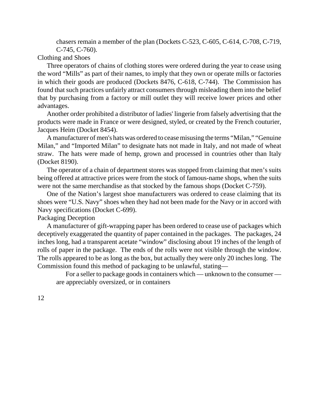chasers remain a member of the plan (Dockets C-523, C-605, C-614, C-708, C-719, C-745, C-760).

Clothing and Shoes

Three operators of chains of clothing stores were ordered during the year to cease using the word "Mills" as part of their names, to imply that they own or operate mills or factories in which their goods are produced (Dockets 8476, C-618, C-744). The Commission has found that such practices unfairly attract consumers through misleading them into the belief that by purchasing from a factory or mill outlet they will receive lower prices and other advantages.

Another order prohibited a distributor of ladies' lingerie from falsely advertising that the products were made in France or were designed, styled, or created by the French couturier, Jacques Heim (Docket 8454).

A manufacturer of men's hats was ordered to ceasemisusing the terms "Milan," "Genuine Milan," and "Imported Milan" to designate hats not made in Italy, and not made of wheat straw. The hats were made of hemp, grown and processed in countries other than Italy (Docket 8190).

The operator of a chain of department stores was stopped from claiming that men's suits being offered at attractive prices were from the stock of famous-name shops, when the suits were not the same merchandise as that stocked by the famous shops (Docket C-759).

One of the Nation's largest shoe manufacturers was ordered to cease claiming that its shoes were "U.S. Navy" shoes when they had not been made for the Navy or in accord with Navy specifications (Docket C-699).

Packaging Deception

A manufacturer of gift-wrapping paper has been ordered to cease use of packages which deceptively exaggerated the quantity of paper contained in the packages. The packages, 24 inches long, had a transparent acetate "window" disclosing about 19 inches of the length of rolls of paper in the package. The ends of the rolls were not visible through the window. The rolls appeared to be as long as the box, but actually they were only 20 inches long. The Commission found this method of packaging to be unlawful, stating—

For a seller to package goods in containers which — unknown to the consumer are appreciably oversized, or in containers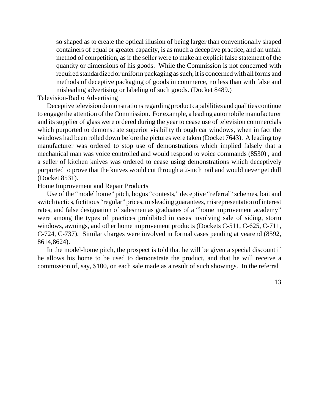so shaped as to create the optical illusion of being larger than conventionally shaped containers of equal or greater capacity, is as much a deceptive practice, and an unfair method of competition, as if the seller were to make an explicit false statement of the quantity or dimensions of his goods. While the Commission is not concerned with required standardized or uniform packaging as such, it is concerned with allforms and methods of deceptive packaging of goods in commerce, no less than with false and misleading advertising or labeling of such goods. (Docket 8489.)

Television-Radio Advertising

Deceptive television demonstrations regarding product capabilities and qualities continue to engage the attention of theCommission. For example, a leading automobile manufacturer and its supplier of glass were ordered during the year to cease use of television commercials which purported to demonstrate superior visibility through car windows, when in fact the windows had been rolled down before the pictures were taken (Docket 7643). A leading toy manufacturer was ordered to stop use of demonstrations which implied falsely that a mechanical man was voice controlled and would respond to voice commands (8530) ; and a seller of kitchen knives was ordered to cease using demonstrations which deceptively purported to prove that the knives would cut through a 2-inch nail and would never get dull (Docket 8531).

#### Home Improvement and Repair Products

Use of the "model home" pitch, bogus "contests," deceptive "referral" schemes, bait and switch tactics, fictitious "regular" prices, misleading guarantees, misrepresentation of interest rates, and false designation of salesmen as graduates of a "home improvement academy" were among the types of practices prohibited in cases involving sale of siding, storm windows, awnings, and other home improvement products (Dockets C-511, C-625, C-711, C-724, C-737). Similar charges were involved in formal cases pending at yearend (8592, 8614,8624).

In the model-home pitch, the prospect is told that he will be given a special discount if he allows his home to be used to demonstrate the product, and that he will receive a commission of, say, \$100, on each sale made as a result of such showings. In the referral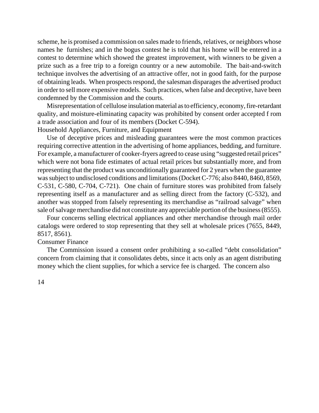scheme, he is promised a commission on sales made to friends, relatives, or neighbors whose names he furnishes; and in the bogus contest he is told that his home will be entered in a contest to determine which showed the greatest improvement, with winners to be given a prize such as a free trip to a foreign country or a new automobile. The bait-and-switch technique involves the advertising of an attractive offer, not in good faith, for the purpose of obtaining leads. When prospects respond, the salesman disparages the advertised product in order to sell more expensive models. Such practices, when false and deceptive, have been condemned by the Commission and the courts.

Misrepresentation of cellulose insulation material as to efficiency, economy, fire-retardant quality, and moisture-eliminating capacity was prohibited by consent order accepted f rom a trade association and four of its members (Docket C-594).

Household Appliances, Furniture, and Equipment

Use of deceptive prices and misleading guarantees were the most common practices requiring corrective attention in the advertising of home appliances, bedding, and furniture. For example, a manufacturer of cooker-fryers agreed to cease using "suggested retail prices" which were not bona fide estimates of actual retail prices but substantially more, and from representing that the product was unconditionally guaranteed for 2 years when the guarantee was subject to undisclosed conditions and limitations (Docket C-776; also 8440, 8460, 8569, C-531, C-580, C-704, C-721). One chain of furniture stores was prohibited from falsely representing itself as a manufacturer and as selling direct from the factory (C-532), and another was stopped from falsely representing its merchandise as "railroad salvage" when sale of salvage merchandise did not constitute any appreciable portion of the business (8555).

Four concerns selling electrical appliances and other merchandise through mail order catalogs were ordered to stop representing that they sell at wholesale prices (7655, 8449, 8517, 8561).

#### Consumer Finance

The Commission issued a consent order prohibiting a so-called "debt consolidation" concern from claiming that it consolidates debts, since it acts only as an agent distributing money which the client supplies, for which a service fee is charged. The concern also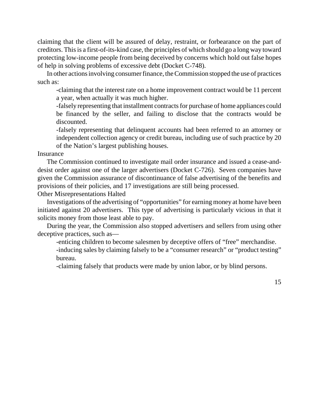claiming that the client will be assured of delay, restraint, or forbearance on the part of creditors. Thisis a first-of-its-kind case, the principles of which should go a long way toward protecting low-income people from being deceived by concerns which hold out false hopes of help in solving problems of excessive debt (Docket C-748).

In other actions involving consumer finance, the Commission stopped the use of practices such as:

-claiming that the interest rate on a home improvement contract would be 11 percent a year, when actually it was much higher.

-falsely representing that installment contracts for purchase of home appliances could be financed by the seller, and failing to disclose that the contracts would be discounted.

-falsely representing that delinquent accounts had been referred to an attorney or independent collection agency or credit bureau, including use of such practice by 20 of the Nation's largest publishing houses.

#### Insurance

The Commission continued to investigate mail order insurance and issued a cease-anddesist order against one of the larger advertisers (Docket C-726). Seven companies have given the Commission assurance of discontinuance of false advertising of the benefits and provisions of their policies, and 17 investigations are still being processed.

Other Misrepresentations Halted

Investigations of the advertising of "opportunities" for earning money at home have been initiated against 20 advertisers. This type of advertising is particularly vicious in that it solicits money from those least able to pay.

During the year, the Commission also stopped advertisers and sellers from using other deceptive practices, such as—

-enticing children to become salesmen by deceptive offers of "free" merchandise.

-inducing sales by claiming falsely to be a "consumer research" or "product testing" bureau.

-claiming falsely that products were made by union labor, or by blind persons.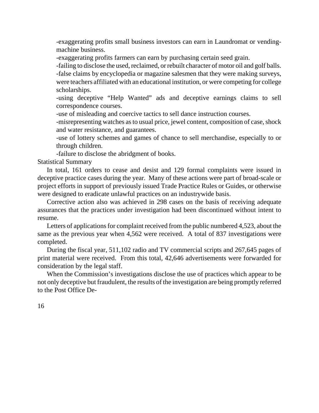-exaggerating profits small business investors can earn in Laundromat or vendingmachine business.

-exaggerating profits farmers can earn by purchasing certain seed grain.

-failing to disclose the used, reclaimed, orrebuilt character of motor oil and golf balls. -false claims by encyclopedia or magazine salesmen that they were making surveys, were teachers affiliated with an educational institution, or were competing for college scholarships.

-using deceptive "Help Wanted" ads and deceptive earnings claims to sell correspondence courses.

-use of misleading and coercive tactics to sell dance instruction courses.

-misrepresenting watches as to usual price, jewel content, composition of case, shock and water resistance, and guarantees.

-use of lottery schemes and games of chance to sell merchandise, especially to or through children.

-failure to disclose the abridgment of books.

Statistical Summary

In total, 161 orders to cease and desist and 129 formal complaints were issued in deceptive practice cases during the year. Many of these actions were part of broad-scale or project efforts in support of previously issued Trade Practice Rules or Guides, or otherwise were designed to eradicate unlawful practices on an industrywide basis.

Corrective action also was achieved in 298 cases on the basis of receiving adequate assurances that the practices under investigation had been discontinued without intent to resume.

Letters of applications for complaint received from the public numbered 4,523, about the same as the previous year when 4,562 were received. A total of 837 investigations were completed.

During the fiscal year, 511,102 radio and TV commercial scripts and 267,645 pages of print material were received. From this total, 42,646 advertisements were forwarded for consideration by the legal staff.

When the Commission's investigations disclose the use of practices which appear to be not only deceptive but fraudulent, the results of the investigation are being promptly referred to the Post Office De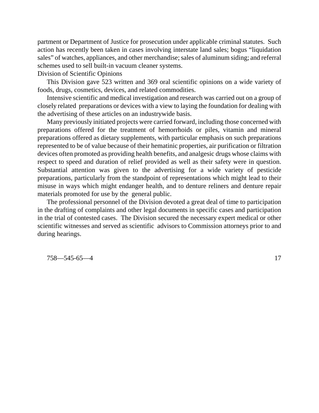partment or Department of Justice for prosecution under applicable criminal statutes. Such action has recently been taken in cases involving interstate land sales; bogus "liquidation sales" of watches, appliances, and other merchandise; sales of aluminum siding; and referral schemes used to sell built-in vacuum cleaner systems.

Division of Scientific Opinions

This Division gave 523 written and 369 oral scientific opinions on a wide variety of foods, drugs, cosmetics, devices, and related commodities.

Intensive scientific and medical investigation and research was carried out on a group of closely related preparations or devices with a view to laying the foundation for dealing with the advertising of these articles on an industrywide basis.

Many previously initiated projects were carried forward, including those concerned with preparations offered for the treatment of hemorrhoids or piles, vitamin and mineral preparations offered as dietary supplements, with particular emphasis on such preparations represented to be of value because of their hematinic properties, air purification or filtration devices often promoted as providing health benefits, and analgesic drugs whose claims with respect to speed and duration of relief provided as well as their safety were in question. Substantial attention was given to the advertising for a wide variety of pesticide preparations, particularly from the standpoint of representations which might lead to their misuse in ways which might endanger health, and to denture reliners and denture repair materials promoted for use by the general public.

The professional personnel of the Division devoted a great deal of time to participation in the drafting of complaints and other legal documents in specific cases and participation in the trial of contested cases. The Division secured the necessary expert medical or other scientific witnesses and served as scientific advisors to Commission attorneys prior to and during hearings.

758—545-65—4 17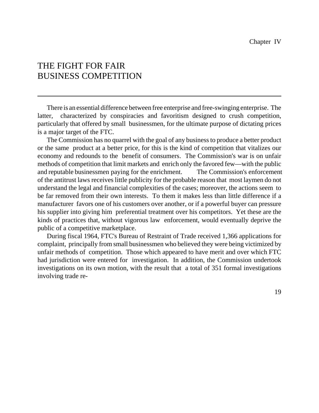## THE FIGHT FOR FAIR BUSINESS COMPETITION

There is an essential difference between free enterprise and free-swinging enterprise. The latter, characterized by conspiracies and favoritism designed to crush competition, particularly that offered by small businessmen, for the ultimate purpose of dictating prices is a major target of the FTC.

The Commission has no quarrel with the goal of any businessto produce a better product or the same product at a better price, for this is the kind of competition that vitalizes our economy and redounds to the benefit of consumers. The Commission's war is on unfair methods of competition that limit markets and enrich only the favored few—with the public and reputable businessmen paying for the enrichment. The Commission's enforcement of the antitrust laws receives little publicity for the probable reason that most laymen do not understand the legal and financial complexities of the cases; moreover, the actions seem to be far removed from their own interests. To them it makes less than little difference if a manufacturer favors one of his customers over another, or if a powerful buyer can pressure his supplier into giving him preferential treatment over his competitors. Yet these are the kinds of practices that, without vigorous law enforcement, would eventually deprive the public of a competitive marketplace.

During fiscal 1964, FTC's Bureau of Restraint of Trade received 1,366 applications for complaint, principally from small businessmen who believed they were being victimized by unfair methods of competition. Those which appeared to have merit and over which FTC had jurisdiction were entered for investigation. In addition, the Commission undertook investigations on its own motion, with the result that a total of 351 formal investigations involving trade re-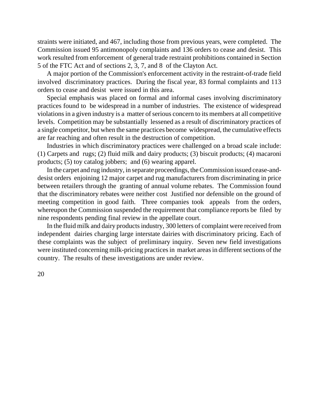straints were initiated, and 467, including those from previous years, were completed. The Commission issued 95 antimonopoly complaints and 136 orders to cease and desist. This work resulted from enforcement of general trade restraint prohibitions contained in Section 5 of the FTC Act and of sections 2, 3, 7, and 8 of the Clayton Act.

A major portion of the Commission's enforcement activity in the restraint-of-trade field involved discriminatory practices. During the fiscal year, 83 formal complaints and 113 orders to cease and desist were issued in this area.

Special emphasis was placed on formal and informal cases involving discriminatory practices found to be widespread in a number of industries. The existence of widespread violations in a given industry is a matter of serious concern to its members at all competitive levels. Competition may be substantially lessened as a result of discriminatory practices of a single competitor, but when the same practices become widespread, the cumulative effects are far reaching and often result in the destruction of competition.

Industries in which discriminatory practices were challenged on a broad scale include: (1) Carpets and rugs; (2) fluid milk and dairy products; (3) biscuit products; (4) macaroni products; (5) toy catalog jobbers; and (6) wearing apparel.

In the carpet and rug industry, in separate proceedings, the Commission issued cease-anddesist orders enjoining 12 major carpet and rug manufacturers from discriminating in price between retailers through the granting of annual volume rebates. The Commission found that the discriminatory rebates were neither cost Justified nor defensible on the ground of meeting competition in good faith. Three companies took appeals from the orders, whereupon the Commission suspended the requirement that compliance reports be filed by nine respondents pending final review in the appellate court.

In the fluid milk and dairy products industry, 300 letters of complaint were received from independent dairies charging large interstate dairies with discriminatory pricing. Each of these complaints was the subject of preliminary inquiry. Seven new field investigations were instituted concerning milk-pricing practicesin market areas in different sections of the country. The results of these investigations are under review.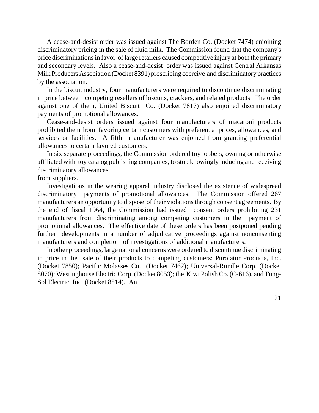A cease-and-desist order was issued against The Borden Co. (Docket 7474) enjoining discriminatory pricing in the sale of fluid milk. The Commission found that the company's price discriminations in favor of large retailers caused competitive injury at both the primary and secondary levels. Also a cease-and-desist order was issued against Central Arkansas Milk Producers Association (Docket 8391) proscribing coercive and discriminatory practices by the association.

In the biscuit industry, four manufacturers were required to discontinue discriminating in price between competing resellers of biscuits, crackers, and related products. The order against one of them, United Biscuit Co. (Docket 7817) also enjoined discriminatory payments of promotional allowances.

Cease-and-desist orders issued against four manufacturers of macaroni products prohibited them from favoring certain customers with preferential prices, allowances, and services or facilities. A fifth manufacturer was enjoined from granting preferential allowances to certain favored customers.

In six separate proceedings, the Commission ordered toy jobbers, owning or otherwise affiliated with toy catalog publishing companies, to stop knowingly inducing and receiving discriminatory allowances

from suppliers.

Investigations in the wearing apparel industry disclosed the existence of widespread discriminatory payments of promotional allowances. The Commission offered 267 manufacturers an opportunity to dispose of their violations through consent agreements. By the end of fiscal 1964, the Commission had issued consent orders prohibiting 231 manufacturers from discriminating among competing customers in the payment of promotional allowances. The effective date of these orders has been postponed pending further developments in a number of adjudicative proceedings against nonconsenting manufacturers and completion of investigations of additional manufacturers.

In other proceedings, large national concerns were ordered to discontinue discriminating in price in the sale of their products to competing customers: Purolator Products, Inc. (Docket 7850); Pacific Molasses Co. (Docket 7462); Universal-Rundle Corp. (Docket 8070); Westinghouse Electric Corp. (Docket 8053); the Kiwi Polish Co. (C-616), and Tung-Sol Electric, Inc. (Docket 8514). An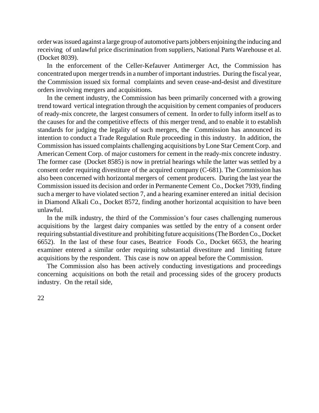order wasissued against a large group of automotive partsjobbers enjoining the inducing and receiving of unlawful price discrimination from suppliers, National Parts Warehouse et al. (Docket 8039).

In the enforcement of the Celler-Kefauver Antimerger Act, the Commission has concentrated upon merger trends in a number of important industries. During the fiscal year, the Commission issued six formal complaints and seven cease-and-desist and divestiture orders involving mergers and acquisitions.

In the cement industry, the Commission has been primarily concerned with a growing trend toward vertical integration through the acquisition by cement companies of producers of ready-mix concrete, the largest consumers of cement. In order to fully inform itself as to the causes for and the competitive effects of this merger trend, and to enable it to establish standards for judging the legality of such mergers, the Commission has announced its intention to conduct a Trade Regulation Rule proceeding in this industry. In addition, the Commission hasissued complaints challenging acquisitions by Lone Star Cement Corp. and American Cement Corp. of major customers for cement in the ready-mix concrete industry. The former case (Docket 8585) is now in pretrial hearings while the latter was settled by a consent order requiring divestiture of the acquired company (C-681). The Commission has also been concerned with horizontal mergers of cement producers. During the last year the Commission issued its decision and order in Permanente Cement Co., Docket 7939, finding such a merger to have violated section 7, and a hearing examiner entered an initial decision in Diamond Alkali Co., Docket 8572, finding another horizontal acquisition to have been unlawful.

In the milk industry, the third of the Commission's four cases challenging numerous acquisitions by the largest dairy companies was settled by the entry of a consent order requiring substantial divestiture and prohibiting future acquisitions (The Borden Co., Docket 6652). In the last of these four cases, Beatrice Foods Co., Docket 6653, the hearing examiner entered a similar order requiring substantial divestiture and limiting future acquisitions by the respondent. This case is now on appeal before the Commission.

The Commission also has been actively conducting investigations and proceedings concerning acquisitions on both the retail and processing sides of the grocery products industry. On the retail side,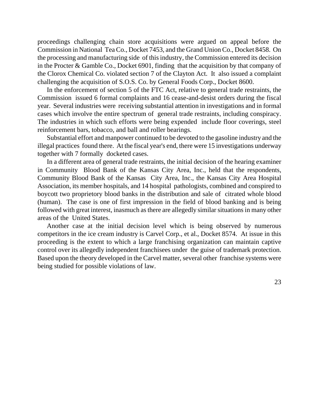proceedings challenging chain store acquisitions were argued on appeal before the Commission in National Tea Co., Docket 7453, and the Grand Union Co., Docket 8458. On the processing and manufacturing side of this industry, the Commission entered its decision in the Procter & Gamble Co., Docket 6901, finding that the acquisition by that company of the Clorox Chemical Co. violated section 7 of the Clayton Act. It also issued a complaint challenging the acquisition of S.O.S. Co. by General Foods Corp., Docket 8600.

In the enforcement of section 5 of the FTC Act, relative to general trade restraints, the Commission issued 6 formal complaints and 16 cease-and-desist orders during the fiscal year. Several industries were receiving substantial attention in investigations and in formal cases which involve the entire spectrum of general trade restraints, including conspiracy. The industries in which such efforts were being expended include floor coverings, steel reinforcement bars, tobacco, and ball and roller bearings.

Substantial effort and manpower continued to be devoted to the gasoline industry and the illegal practices found there. At the fiscal year's end, there were 15 investigations underway together with 7 formally docketed cases.

In a different area of general trade restraints, the initial decision of the hearing examiner in Community Blood Bank of the Kansas City Area, Inc., held that the respondents, Community Blood Bank of the Kansas City Area, Inc., the Kansas City Area Hospital Association, its member hospitals, and 14 hospital pathologists, combined and conspired to boycott two proprietory blood banks in the distribution and sale of citrated whole blood (human). The case is one of first impression in the field of blood banking and is being followed with great interest, inasmuch as there are allegedly similar situations in many other areas of the United States.

Another case at the initial decision level which is being observed by numerous competitors in the ice cream industry is Carvel Corp., et al., Docket 8574. At issue in this proceeding is the extent to which a large franchising organization can maintain captive control over its allegedly independent franchisees under the guise of trademark protection. Based upon the theory developed in the Carvel matter, several other franchise systems were being studied for possible violations of law.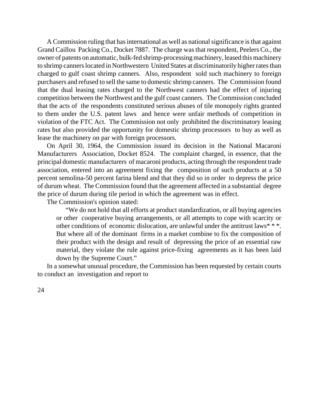A Commission ruling that has international as well as national significance is that against Grand Caillou Packing Co., Docket 7887. The charge was that respondent, Peelers Co., the owner of patents on automatic, bulk-fed shrimp-processing machinery, leased this machinery to shrimp cannerslocated in Northwestern United States at discriminatorily higher rates than charged to gulf coast shrimp canners. Also, respondent sold such machinery to foreign purchasers and refused to sell the same to domestic shrimp canners. The Commission found that the dual leasing rates charged to the Northwest canners had the effect of injuring competition between the Northwest and the gulf coast canners. The Commission concluded that the acts of the respondents constituted serious abuses of tile monopoly rights granted to them under the U.S. patent laws and hence were unfair methods of competition in violation of the FTC Act. The Commission not only prohibited the discriminatory leasing rates but also provided the opportunity for domestic shrimp processors to buy as well as lease the machinery on par with foreign processors.

On April 30, 1964, the Commission issued its decision in the National Macaroni Manufacturers Association, Docket 8524. The complaint charged, in essence, that the principal domestic manufacturers of macaroni products, acting through the respondent trade association, entered into an agreement fixing the composition of such products at a 50 percent semolina-50 percent farina blend and that they did so in order to depress the price of durum wheat. The Commission found that the agreement affected in a substantial degree the price of durum during tile period in which the agreement was in effect.

The Commission's opinion stated:

"We do not hold that all efforts at product standardization, or all buying agencies or other cooperative buying arrangements, or all attempts to cope with scarcity or other conditions of economic dislocation, are unlawful under the antitrust laws\* \* \*. But where all of the dominant firms in a market combine to fix the composition of their product with the design and result of depressing the price of an essential raw material, they violate the rule against price-fixing agreements as it has been laid down by the Supreme Court."

In a somewhat unusual procedure, the Commission has been requested by certain courts to conduct an investigation and report to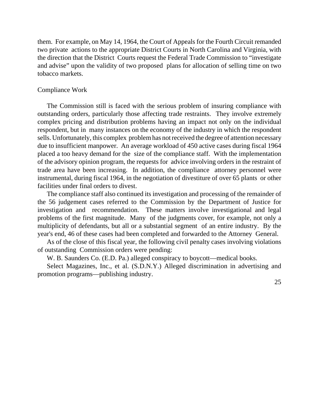them. For example, on May 14, 1964, the Court of Appeals for the Fourth Circuit remanded two private actions to the appropriate District Courts in North Carolina and Virginia, with the direction that the District Courts request the Federal Trade Commission to "investigate and advise" upon the validity of two proposed plans for allocation of selling time on two tobacco markets.

#### Compliance Work

The Commission still is faced with the serious problem of insuring compliance with outstanding orders, particularly those affecting trade restraints. They involve extremely complex pricing and distribution problems having an impact not only on the individual respondent, but in many instances on the economy of the industry in which the respondent sells. Unfortunately, this complex problem has not received the degree of attention necessary due to insufficient manpower. An average workload of 450 active cases during fiscal 1964 placed a too heavy demand for the size of the compliance staff. With the implementation of the advisory opinion program, the requests for advice involving orders in the restraint of trade area have been increasing. In addition, the compliance attorney personnel were instrumental, during fiscal 1964, in the negotiation of divestiture of over 65 plants or other facilities under final orders to divest.

The compliance staff also continued its investigation and processing of the remainder of the 56 judgement cases referred to the Commission by the Department of Justice for investigation and recommendation. These matters involve investigational and legal problems of the first magnitude. Many of the judgments cover, for example, not only a multiplicity of defendants, but all or a substantial segment of an entire industry. By the year's end, 46 of these cases had been completed and forwarded to the Attorney General.

As of the close of this fiscal year, the following civil penalty cases involving violations of outstanding Commission orders were pending:

W. B. Saunders Co. (E.D. Pa.) alleged conspiracy to boycott—medical books.

Select Magazines, Inc., et al. (S.D.N.Y.) Alleged discrimination in advertising and promotion programs—publishing industry.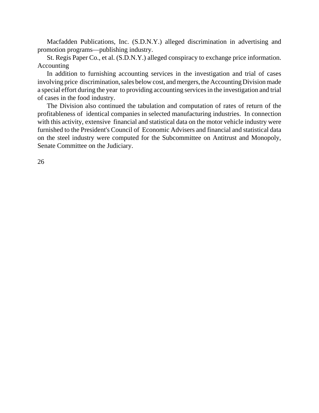Macfadden Publications, Inc. (S.D.N.Y.) alleged discrimination in advertising and promotion programs—publishing industry.

St. Regis Paper Co., et al. (S.D.N.Y.) alleged conspiracy to exchange price information. Accounting

In addition to furnishing accounting services in the investigation and trial of cases involving price discrimination, sales below cost, and mergers, the Accounting Division made a special effort during the year to providing accounting services in the investigation and trial of cases in the food industry.

The Division also continued the tabulation and computation of rates of return of the profitableness of identical companies in selected manufacturing industries. In connection with this activity, extensive financial and statistical data on the motor vehicle industry were furnished to the President's Council of Economic Advisers and financial and statistical data on the steel industry were computed for the Subcommittee on Antitrust and Monopoly, Senate Committee on the Judiciary.

26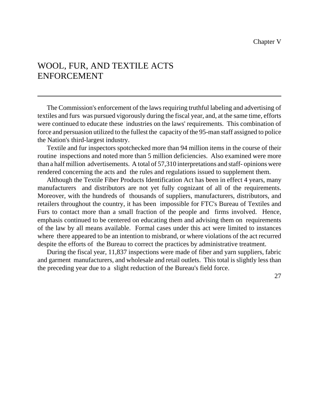## WOOL, FUR, AND TEXTILE ACTS ENFORCEMENT

The Commission's enforcement of the laws requiring truthful labeling and advertising of textiles and furs was pursued vigorously during the fiscal year, and, at the same time, efforts were continued to educate these industries on the laws' requirements. This combination of force and persuasion utilized to the fullest the capacity of the 95-man staff assigned to police the Nation's third-largest industry.

Textile and fur inspectors spotchecked more than 94 million items in the course of their routine inspections and noted more than 5 million deficiencies. Also examined were more than a half million advertisements. A total of 57,310 interpretations and staff- opinions were rendered concerning the acts and the rules and regulations issued to supplement them.

Although the Textile Fiber Products Identification Act has been in effect 4 years, many manufacturers and distributors are not yet fully cognizant of all of the requirements. Moreover, with the hundreds of thousands of suppliers, manufacturers, distributors, and retailers throughout the country, it has been impossible for FTC's Bureau of Textiles and Furs to contact more than a small fraction of the people and firms involved. Hence, emphasis continued to be centered on educating them and advising them on requirements of the law by all means available. Formal cases under this act were limited to instances where there appeared to be an intention to misbrand, or where violations of the act recurred despite the efforts of the Bureau to correct the practices by administrative treatment.

During the fiscal year, 11,837 inspections were made of fiber and yarn suppliers, fabric and garment manufacturers, and wholesale and retail outlets. This total is slightly less than the preceding year due to a slight reduction of the Bureau's field force.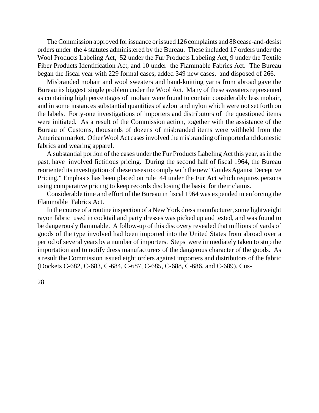The Commission approved for issuance or issued 126 complaints and 88 cease-and-desist orders under the 4 statutes administered by the Bureau. These included 17 orders under the Wool Products Labeling Act, 52 under the Fur Products Labeling Act, 9 under the Textile Fiber Products Identification Act, and 10 under the Flammable Fabrics Act. The Bureau began the fiscal year with 229 formal cases, added 349 new cases, and disposed of 266.

Misbranded mohair and wool sweaters and hand-knitting yarns from abroad gave the Bureau its biggest single problem under the Wool Act. Many of these sweaters represented as containing high percentages of mohair were found to contain considerably less mohair, and in some instances substantial quantities of azlon and nylon which were not set forth on the labels. Forty-one investigations of importers and distributors of the questioned items were initiated. As a result of the Commission action, together with the assistance of the Bureau of Customs, thousands of dozens of misbranded items were withheld from the American market. Other Wool Act cases involved the misbranding of imported and domestic fabrics and wearing apparel.

A substantial portion of the cases under the Fur Products Labeling Act this year, as in the past, have involved fictitious pricing. During the second half of fiscal 1964, the Bureau reoriented itsinvestigation of these cases to comply with the new "Guides Against Deceptive Pricing." Emphasis has been placed on rule 44 under the Fur Act which requires persons using comparative pricing to keep records disclosing the basis for their claims.

Considerable time and effort of the Bureau in fiscal 1964 was expended in enforcing the Flammable Fabrics Act.

In the course of a routine inspection of a New York dress manufacturer, some lightweight rayon fabric used in cocktail and party dresses was picked up and tested, and was found to be dangerously flammable. A follow-up of this discovery revealed that millions of yards of goods of the type involved had been imported into the United States from abroad over a period of several years by a number of importers. Steps were immediately taken to stop the importation and to notify dress manufacturers of the dangerous character of the goods. As a result the Commission issued eight orders against importers and distributors of the fabric (Dockets C-682, C-683, C-684, C-687, C-685, C-688, C-686, and C-689). Cus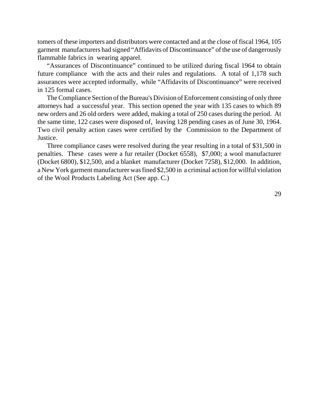tomers of these importers and distributors were contacted and at the close of fiscal 1964, 105 garment manufacturers had signed "Affidavits of Discontinuance" of the use of dangerously flammable fabrics in wearing apparel.

"Assurances of Discontinuance" continued to be utilized during fiscal 1964 to obtain future compliance with the acts and their rules and regulations. A total of 1,178 such assurances were accepted informally, while "Affidavits of Discontinuance" were received in 125 formal cases.

TheCompliance Section of the Bureau's Division of Enforcement consisting of only three attorneys had a successful year. This section opened the year with 135 cases to which 89 new orders and 26 old orders were added, making a total of 250 cases during the period. At the same time, 122 cases were disposed of, leaving 128 pending cases as of June 30, 1964. Two civil penalty action cases were certified by the Commission to the Department of Justice.

Three compliance cases were resolved during the year resulting in a total of \$31,500 in penalties. These cases were a fur retailer (Docket 6558), \$7,000; a wool manufacturer (Docket 6800), \$12,500, and a blanket manufacturer (Docket 7258), \$12,000. In addition, a New York garment manufacturer wasfined \$2,500 in a criminal action for willful violation of the Wool Products Labeling Act (See app. C.)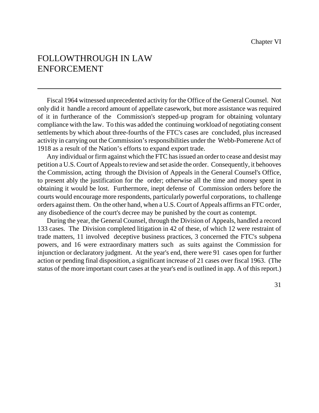## FOLLOWTHROUGH IN LAW ENFORCEMENT

Fiscal 1964 witnessed unprecedented activity for the Office of the General Counsel. Not only did it handle a record amount of appellate casework, but more assistance was required of it in furtherance of the Commission's stepped-up program for obtaining voluntary compliance with the law. To this was added the continuing workload of negotiating consent settlements by which about three-fourths of the FTC's cases are concluded, plus increased activity in carrying out the Commission'sresponsibilities under the Webb-Pomerene Act of 1918 as a result of the Nation's efforts to expand export trade.

Any individual or firm against which the FTC has issued an order to cease and desist may petition a U.S. Court of Appeals to review and set aside the order. Consequently, it behooves the Commission, acting through the Division of Appeals in the General Counsel's Office, to present ably the justification for the order; otherwise all the time and money spent in obtaining it would be lost. Furthermore, inept defense of Commission orders before the courts would encourage more respondents, particularly powerful corporations, to challenge orders against them. On the other hand, when a U.S. Court of Appeals affirms an FTC order, any disobedience of the court's decree may be punished by the court as contempt.

During the year, the General Counsel, through the Division of Appeals, handled a record 133 cases. The Division completed litigation in 42 of these, of which 12 were restraint of trade matters, 11 involved deceptive business practices, 3 concerned the FTC's subpena powers, and 16 were extraordinary matters such as suits against the Commission for injunction or declaratory judgment. At the year's end, there were 91 cases open for further action or pending final disposition, a significant increase of 21 cases over fiscal 1963. (The status of the more important court cases at the year's end is outlined in app. A of thisreport.)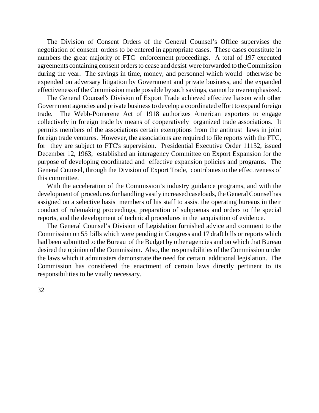The Division of Consent Orders of the General Counsel's Office supervises the negotiation of consent orders to be entered in appropriate cases. These cases constitute in numbers the great majority of FTC enforcement proceedings. A total of 197 executed agreements containing consent orders to cease and desist were forwarded to the Commission during the year. The savings in time, money, and personnel which would otherwise be expended on adversary litigation by Government and private business, and the expanded effectiveness of theCommission made possible by such savings, cannot be overemphasized.

The General Counsel's Division of Export Trade achieved effective liaison with other Government agencies and private businessto develop a coordinated effort to expand foreign trade. The Webb-Pomerene Act of 1918 authorizes American exporters to engage collectively in foreign trade by means of cooperatively organized trade associations. It permits members of the associations certain exemptions from the antitrust laws in joint foreign trade ventures. However, the associations are required to file reports with the FTC, for they are subject to FTC's supervision. Presidential Executive Order 11132, issued December 12, 1963, established an interagency Committee on Export Expansion for the purpose of developing coordinated and effective expansion policies and programs. The General Counsel, through the Division of Export Trade, contributes to the effectiveness of this committee.

With the acceleration of the Commission's industry guidance programs, and with the development of procedures for handling vastly increased caseloads, the General Counsel has assigned on a selective basis members of his staff to assist the operating bureaus in their conduct of rulemaking proceedings, preparation of subpoenas and orders to file special reports, and the development of technical procedures in the acquisition of evidence.

The General Counsel's Division of Legislation furnished advice and comment to the Commission on 55 bills which were pending in Congress and 17 draft bills or reports which had been submitted to the Bureau of the Budget by other agencies and on which that Bureau desired the opinion of the Commission. Also, the responsibilities of the Commission under the laws which it administers demonstrate the need for certain additional legislation. The Commission has considered the enactment of certain laws directly pertinent to its responsibilities to be vitally necessary.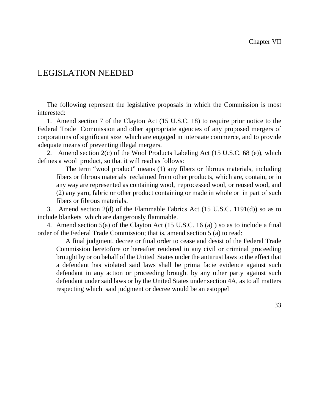## LEGISLATION NEEDED

The following represent the legislative proposals in which the Commission is most interested:

1. Amend section 7 of the Clayton Act (15 U.S.C. 18) to require prior notice to the Federal Trade Commission and other appropriate agencies of any proposed mergers of corporations of significant size which are engaged in interstate commerce, and to provide adequate means of preventing illegal mergers.

2. Amend section 2(c) of the Wool Products Labeling Act (15 U.S.C. 68 (e)), which defines a wool product, so that it will read as follows:

The term "wool product" means (1) any fibers or fibrous materials, including fibers or fibrous materials reclaimed from other products, which are, contain, or in any way are represented as containing wool, reprocessed wool, or reused wool, and (2) any yarn, fabric or other product containing or made in whole or in part of such fibers or fibrous materials.

3. Amend section 2(d) of the Flammable Fabrics Act (15 U.S.C. 1191(d)) so as to include blankets which are dangerously flammable.

4. Amend section 5(a) of the Clayton Act (15 U.S.C. 16 (a) ) so as to include a final order of the Federal Trade Commission; that is, amend section 5 (a) to read:

A final judgment, decree or final order to cease and desist of the Federal Trade Commission heretofore or hereafter rendered in any civil or criminal proceeding brought by or on behalf of the United States under the antitrust laws to the effect that a defendant has violated said laws shall be prima facie evidence against such defendant in any action or proceeding brought by any other party against such defendant under said laws or by the United States under section 4A, as to all matters respecting which said judgment or decree would be an estoppel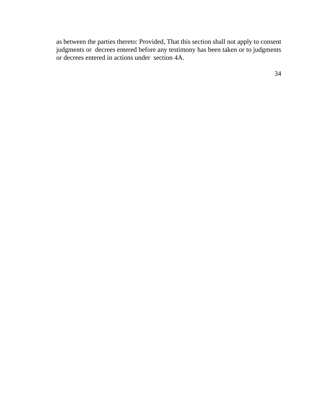as between the parties thereto: Provided, That this section shall not apply to consent judgments or decrees entered before any testimony has been taken or to judgments or decrees entered in actions under section 4A.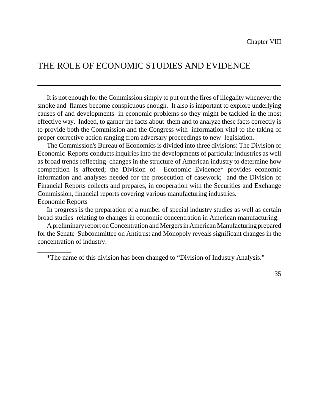## THE ROLE OF ECONOMIC STUDIES AND EVIDENCE

It is not enough for the Commission simply to put out the fires of illegality whenever the smoke and flames become conspicuous enough. It also is important to explore underlying causes of and developments in economic problems so they might be tackled in the most effective way. Indeed, to garner the facts about them and to analyze these facts correctly is to provide both the Commission and the Congress with information vital to the taking of proper corrective action ranging from adversary proceedings to new legislation.

The Commission's Bureau of Economics is divided into three divisions: The Division of Economic Reports conducts inquiries into the developments of particular industries as well as broad trends reflecting changes in the structure of American industry to determine how competition is affected; the Division of Economic Evidence\* provides economic information and analyses needed for the prosecution of casework; and the Division of Financial Reports collects and prepares, in cooperation with the Securities and Exchange Commission, financial reports covering various manufacturing industries. Economic Reports

In progress is the preparation of a number of special industry studies as well as certain broad studies relating to changes in economic concentration in American manufacturing.

A preliminary report on Concentration and Mergers in American Manufacturing prepared for the Senate Subcommittee on Antitrust and Monopoly reveals significant changes in the concentration of industry.

\*The name of this division has been changed to "Division of Industry Analysis."

\_\_\_\_\_\_\_\_\_\_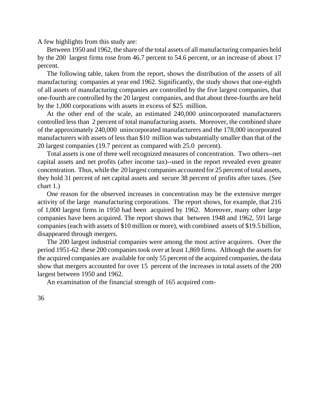A few highlights from this study are:

Between 1950 and 1962, the share of the total assets of all manufacturing companies held by the 200 largest firms rose from 46.7 percent to 54.6 percent, or an increase of about 17 percent.

The following table, taken from the report, shows the distribution of the assets of all manufacturing companies at year end 1962. Significantly, the study shows that one-eighth of all assets of manufacturing companies are controlled by the five largest companies, that one-fourth are controlled by the 20 largest companies, and that about three-fourths are held by the 1,000 corporations with assets in excess of \$25 million.

At the other end of the scale, an estimated 240,000 unincorporated manufacturers controlled less than 2 percent of total manufacturing assets. Moreover, the combined share of the approximately 240,000 unincorporated manufacturers and the 178,000 incorporated manufacturers with assets of less than \$10 million was substantially smaller than that of the 20 largest companies (19.7 percent as compared with 25.0 percent).

Total assets is one of three well recognized measures of concentration. Two others--net capital assets and net profits (after income tax)--used in the report revealed even greater concentration. Thus, while the 20 largest companies accounted for 25 percent of total assets, they hold 31 percent of net capital assets and secure 38 percent of profits after taxes. (See chart 1.)

One reason for the observed increases in concentration may be the extensive merger activity of the large manufacturing corporations. The report shows, for example, that 216 of 1,000 largest firms in 1950 had been acquired by 1962. Moreover, many other large companies have been acquired. The report shows that between 1948 and 1962, 591 large companies(each with assets of \$10 million or more), with combined assets of \$19.5 billion, disappeared through mergers.

The 200 largest industrial companies were among the most active acquirers. Over the period 1951-62 these 200 companies took over at least 1,869 firms. Although the assets for the acquired companies are available for only 55 percent of the acquired companies, the data show that mergers accounted for over 15 percent of the increases in total assets of the 200 largest between 1950 and 1962.

An examination of the financial strength of 165 acquired com-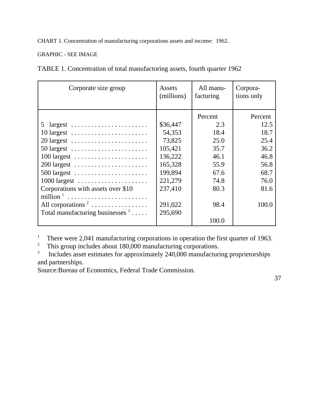CHART 1. Concentration of manufacturing corporations assets and income: 1962.

GRAPHIC - SEE IMAGE

TABLE 1. Concentration of total manufactoring assets, fourth quarter 1962

| Corporate size group                                            | Assets<br>(millions) | All manu-<br>facturing | Corpora-<br>tions only |
|-----------------------------------------------------------------|----------------------|------------------------|------------------------|
|                                                                 |                      | Percent                | Percent                |
| 5<br>$largest$                                                  | \$36,447             | 2.3                    | 12.5                   |
| $10 \text{ largest } \dots \dots \dots \dots \dots \dots \dots$ | 54,353               | 18.4                   | 18.7                   |
| 20 largest                                                      | 73,825               | 25.0                   | 25.4                   |
| 50 largest $\dots \dots \dots \dots \dots \dots \dots$          | 105,421              | 35.7                   | 36.2                   |
| $100$ largest                                                   | 136,222              | 46.1                   | 46.8                   |
| $200$ largest                                                   | 165,328              | 55.9                   | 56.8                   |
| $500$ largest                                                   | 199,894              | 67.6                   | 68.7                   |
| $1000$ largest                                                  | 221,279              | 74.8                   | 76.0                   |
| Corporations with assets over \$10                              | 237,410              | 80.3                   | 81.6                   |
| million <sup>1</sup>                                            |                      |                        |                        |
| All corporations <sup>2</sup>                                   | 291,022              | 98.4                   | 100.0                  |
| Total manufacturing businesses $3 \ldots$ .                     | 295,690              |                        |                        |
|                                                                 |                      | 100.0                  |                        |

<sup>1</sup> There were 2,041 manufacturing corporations in operation the first quarter of 1963.<br><sup>2</sup> This group includes about 180,000 manufacturing corporations

This group includes about 180,000 manufacturing corporations.

3 Includes asset estimates for approximately 240,000 manufacturing proprietorships and partnerships.

Source:Bureau of Economics, Federal Trade Commission.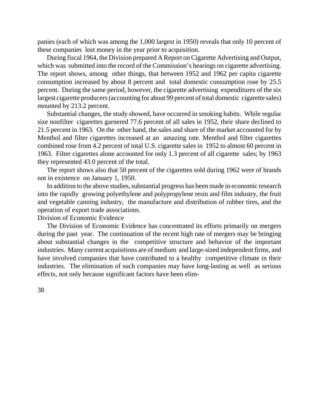panies (each of which was among the 1,000 largest in 1950) reveals that only 10 percent of these companies lost money in the year prior to acquisition.

During fiscal 1964, the Division prepared A Report on Cigarette Advertising and Output, which was submitted into the record of the Commission's hearings on cigarette advertising. The report shows, among other things, that between 1952 and 1962 per capita cigarette consumption increased by about 8 percent and total domestic consumption rose by 25.5 percent. During the same period, however, the cigarette advertising expenditures of the six largest cigarette producers (accounting for about 99 percent of total domestic cigarette sales) mounted by 213.2 percent.

Substantial changes, the study showed, have occurred in smoking habits. While regular size nonfilter cigarettes garnered 77.6 percent of all sales in 1952, their share declined to 21.5 percent in 1963. On the other hand, the sales and share of the market accounted for by Menthol and filter cigarettes increased at an amazing rate. Menthol and filter cigarettes combined rose from 4.2 percent of total U.S. cigarette sales in 1952 to almost 60 percent in 1963. Filter cigarettes alone accounted for only 1.3 percent of all cigarette sales; by 1963 they represented 43.0 percent of the total.

The report shows also that 50 percent of the cigarettes sold during 1962 were of brands not in existence on January 1, 1950.

In addition to the above studies, substantial progress has been made in economic research into the rapidly growing polyethylene and polypropylene resin and film industry, the fruit and vegetable canning industry, the manufacture and distribution of rubber tires, and the operation of export trade associations.

Division of Economic Evidence

The Division of Economic Evidence has concentrated its efforts primarily on mergers during the past year. The continuation of the recent high rate of mergers may be bringing about substantial changes in the competitive structure and behavior of the important industries. Many current acquisitions are of medium and large-sized independent firms, and have involved companies that have contributed to a healthy competitive climate in their industries. The elimination of such companies may have long-lasting as well as serious effects, not only because significant factors have been elim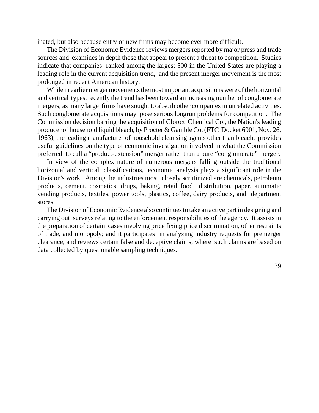inated, but also because entry of new firms may become ever more difficult.

The Division of Economic Evidence reviews mergers reported by major press and trade sources and examines in depth those that appear to present a threat to competition. Studies indicate that companies ranked among the largest 500 in the United States are playing a leading role in the current acquisition trend, and the present merger movement is the most prolonged in recent American history.

While in earlier merger movements the most important acquisitions were of the horizontal and vertical types, recently the trend has been toward an increasing number of conglomerate mergers, as many large firms have sought to absorb other companies in unrelated activities. Such conglomerate acquisitions may pose serious longrun problems for competition. The Commission decision barring the acquisition of Clorox Chemical Co., the Nation's leading producer of household liquid bleach, by Procter & Gamble Co. (FTC Docket 6901, Nov. 26, 1963), the leading manufacturer of household cleansing agents other than bleach, provides useful guidelines on the type of economic investigation involved in what the Commission preferred to call a "product-extension" merger rather than a pure "conglomerate" merger.

In view of the complex nature of numerous mergers falling outside the traditional horizontal and vertical classifications, economic analysis plays a significant role in the Division's work. Among the industries most closely scrutinized are chemicals, petroleum products, cement, cosmetics, drugs, baking, retail food distribution, paper, automatic vending products, textiles, power tools, plastics, coffee, dairy products, and department stores.

The Division of Economic Evidence also continuesto take an active part in designing and carrying out surveys relating to the enforcement responsibilities of the agency. It assists in the preparation of certain cases involving price fixing price discrimination, other restraints of trade, and monopoly; and it participates in analyzing industry requests for premerger clearance, and reviews certain false and deceptive claims, where such claims are based on data collected by questionable sampling techniques.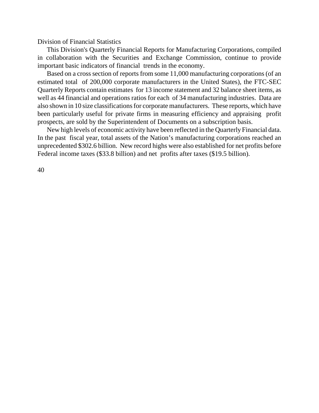Division of Financial Statistics

This Division's Quarterly Financial Reports for Manufacturing Corporations, compiled in collaboration with the Securities and Exchange Commission, continue to provide important basic indicators of financial trends in the economy.

Based on a cross section of reports from some 11,000 manufacturing corporations (of an estimated total of 200,000 corporate manufacturers in the United States), the FTC-SEC Quarterly Reports contain estimates for 13 income statement and 32 balance sheet items, as well as 44 financial and operations ratios for each of 34 manufacturing industries. Data are also shown in 10 size classifications for corporate manufacturers. These reports, which have been particularly useful for private firms in measuring efficiency and appraising profit prospects, are sold by the Superintendent of Documents on a subscription basis.

New high levels of economic activity have been reflected in the Quarterly Financial data. In the past fiscal year, total assets of the Nation's manufacturing corporations reached an unprecedented \$302.6 billion. New record highs were also established for net profits before Federal income taxes (\$33.8 billion) and net profits after taxes (\$19.5 billion).

40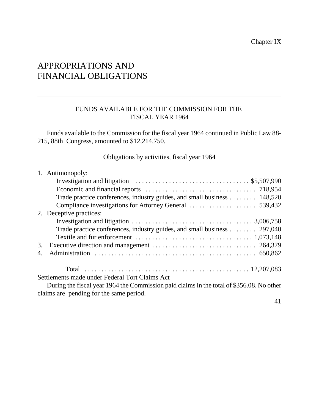## APPROPRIATIONS AND FINANCIAL OBLIGATIONS

#### FUNDS AVAILABLE FOR THE COMMISSION FOR THE FISCAL YEAR 1964

Funds available to the Commission for the fiscal year 1964 continued in Public Law 88- 215, 88th Congress, amounted to \$12,214,750.

Obligations by activities, fiscal year 1964

|    | 1. Antimonopoly:                                                                                         |
|----|----------------------------------------------------------------------------------------------------------|
|    | Investigation and litigation $\dots \dots \dots \dots \dots \dots \dots \dots \dots \dots \$ \$5,507,990 |
|    |                                                                                                          |
|    | Trade practice conferences, industry guides, and small business 148,520                                  |
|    |                                                                                                          |
|    | 2. Deceptive practices:                                                                                  |
|    |                                                                                                          |
|    | Trade practice conferences, industry guides, and small business 297,040                                  |
|    |                                                                                                          |
| 3. |                                                                                                          |
| 4. |                                                                                                          |
|    |                                                                                                          |
|    | Settlements made under Federal Tort Claims Act                                                           |
|    | During the fiscal year 1964 the Commission paid claims in the total of \$356.08. No other                |
|    | claims are pending for the same period.                                                                  |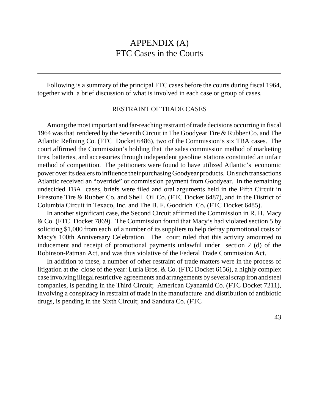## APPENDIX (A) FTC Cases in the Courts

Following is a summary of the principal FTC cases before the courts during fiscal 1964, together with a brief discussion of what is involved in each case or group of cases.

#### RESTRAINT OF TRADE CASES

Among the most important and far-reaching restraint of trade decisions occurring in fiscal 1964 was that rendered by the Seventh Circuit in The Goodyear Tire & Rubber Co. and The Atlantic Refining Co. (FTC Docket 6486), two of the Commission's six TBA cases. The court affirmed the Commission's holding that the sales commission method of marketing tires, batteries, and accessories through independent gasoline stations constituted an unfair method of competition. The petitioners were found to have utilized Atlantic's economic power overits dealersto influence their purchasing Goodyear products. On such transactions Atlantic received an "override" or commission payment from Goodyear. In the remaining undecided TBA cases, briefs were filed and oral arguments held in the Fifth Circuit in Firestone Tire & Rubber Co. and Shell Oil Co. (FTC Docket 6487), and in the District of Columbia Circuit in Texaco, Inc. and The B. F. Goodrich Co. (FTC Docket 6485).

In another significant case, the Second Circuit affirmed the Commission in R. H. Macy & Co. (FTC Docket 7869). The Commission found that Macy's had violated section 5 by soliciting \$1,000 from each of a number of its suppliers to help defray promotional costs of Macy's 100th Anniversary Celebration. The court ruled that this activity amounted to inducement and receipt of promotional payments unlawful under section 2 (d) of the Robinson-Patman Act, and was thus violative of the Federal Trade Commission Act.

In addition to these, a number of other restraint of trade matters were in the process of litigation at the close of the year: Luria Bros. & Co. (FTC Docket 6156), a highly complex case involving illegal restrictive agreements and arrangements by several scrap iron and steel companies, is pending in the Third Circuit; American Cyanamid Co. (FTC Docket 7211), involving a conspiracy in restraint of trade in the manufacture and distribution of antibiotic drugs, is pending in the Sixth Circuit; and Sandura Co. (FTC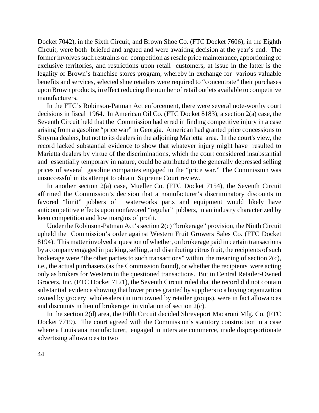Docket 7042), in the Sixth Circuit, and Brown Shoe Co. (FTC Docket 7606), in the Eighth Circuit, were both briefed and argued and were awaiting decision at the year's end. The former involves such restraints on competition as resale price maintenance, apportioning of exclusive territories, and restrictions upon retail customers; at issue in the latter is the legality of Brown's franchise stores program, whereby in exchange for various valuable benefits and services, selected shoe retailers were required to "concentrate" their purchases uponBrown products, in effect reducing the number of retail outlets available to competitive manufacturers.

In the FTC's Robinson-Patman Act enforcement, there were several note-worthy court decisions in fiscal 1964. In American Oil Co. (FTC Docket 8183), a section 2(a) case, the Seventh Circuit held that the Commission had erred in finding competitive injury in a case arising from a gasoline "price war" in Georgia. American had granted price concessions to Smyrna dealers, but not to its dealers in the adjoining Marietta area. In the court's view, the record lacked substantial evidence to show that whatever injury might have resulted to Marietta dealers by virtue of the discriminations, which the court considered insubstantial and essentially temporary in nature, could be attributed to the generally depressed selling prices of several gasoline companies engaged in the "price war." The Commission was unsuccessful in its attempt to obtain Supreme Court review.

In another section 2(a) case, Mueller Co. (FTC Docket 7154), the Seventh Circuit affirmed the Commission's decision that a manufacturer's discriminatory discounts to favored "limit" jobbers of waterworks parts and equipment would likely have anticompetitive effects upon nonfavored "regular" jobbers, in an industry characterized by keen competition and low margins of profit.

Under the Robinson-Patman Act's section 2(c) "brokerage" provision, the Ninth Circuit upheld the Commission's order against Western Fruit Growers Sales Co. (FTC Docket 8194). This matter involved a question of whether, on brokerage paid in certain transactions by a company engaged in packing, selling, and distributing citrus fruit, the recipients of such brokerage were "the other parties to such transactions" within the meaning of section 2(c), i.e., the actual purchasers (as the Commission found), or whether the recipients were acting only as brokers for Western in the questioned transactions. But in Central Retailer-Owned Grocers, Inc. (FTC Docket 7121), the Seventh Circuit ruled that the record did not contain substantial evidence showing that lower prices granted by suppliers to a buying organization owned by grocery wholesalers (in turn owned by retailer groups), were in fact allowances and discounts in lieu of brokerage in violation of section 2(c).

In the section 2(d) area, the Fifth Circuit decided Shreveport Macaroni Mfg. Co. (FTC Docket 7719). The court agreed with the Commission's statutory construction in a case where a Louisiana manufacturer, engaged in interstate commerce, made disproportionate advertising allowances to two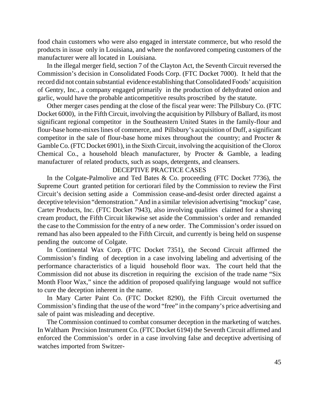food chain customers who were also engaged in interstate commerce, but who resold the products in issue only in Louisiana, and where the nonfavored competing customers of the manufacturer were all located in Louisiana.

In the illegal merger field, section 7 of the Clayton Act, the Seventh Circuit reversed the Commission's decision in Consolidated Foods Corp. (FTC Docket 7000). It held that the record did not contain substantial evidence establishing that Consolidated Foods' acquisition of Gentry, Inc., a company engaged primarily in the production of dehydrated onion and garlic, would have the probable anticompetitive results proscribed by the statute.

Other merger cases pending at the close of the fiscal year were: The Pillsbury Co. (FTC Docket 6000), in the Fifth Circuit, involving the acquisition by Pillsbury of Ballard, its most significant regional competitor in the Southeastern United States in the family-flour and flour-base home-mixeslines of commerce, and Pillsbury's acquisition of Duff, a significant competitor in the sale of flour-base home mixes throughout the country; and Procter  $\&$ Gamble Co. (FTC Docket 6901), in the Sixth Circuit, involving the acquisition of the Clorox Chemical Co., a household bleach manufacturer, by Procter & Gamble, a leading manufacturer of related products, such as soaps, detergents, and cleansers.

#### DECEPTIVE PRACTICE CASES

In the Colgate-Palmolive and Ted Bates  $& Co.$  proceeding (FTC Docket 7736), the Supreme Court granted petition for certiorari filed by the Commission to review the First Circuit's decision setting aside a Commission cease-and-desist order directed against a deceptive television "demonstration." And in a similar television advertising "mockup" case, Carter Products, Inc. (FTC Docket 7943), also involving qualities claimed for a shaving cream product, the Fifth Circuit likewise set aside the Commission's order and remanded the case to the Commission for the entry of a new order. The Commission's order issued on remand has also been appealed to the Fifth Circuit, and currently is being held on suspense pending the outcome of Colgate.

In Continental Wax Corp. (FTC Docket 7351), the Second Circuit affirmed the Commission's finding of deception in a case involving labeling and advertising of the performance characteristics of a liquid household floor wax. The court held that the Commission did not abuse its discretion in requiring the excision of the trade name "Six Month Floor Wax," since the addition of proposed qualifying language would not suffice to cure the deception inherent in the name.

In Mary Carter Paint Co. (FTC Docket 8290), the Fifth Circuit overturned the Commission's finding that the use of the word "free" in the company's price advertising and sale of paint was misleading and deceptive.

The Commission continued to combat consumer deception in the marketing of watches. In Waltham Precision Instrument Co. (FTC Docket 6194) the Seventh Circuit affirmed and enforced the Commission's order in a case involving false and deceptive advertising of watches imported from Switzer-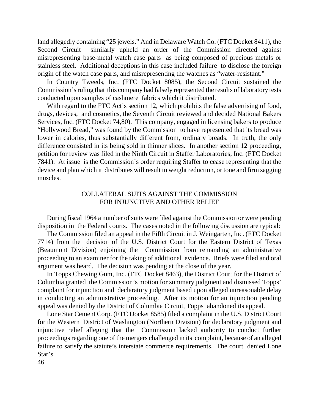land allegedly containing "25 jewels." And in Delaware Watch Co. (FTC Docket 8411), the Second Circuit similarly upheld an order of the Commission directed against misrepresenting base-metal watch case parts as being composed of precious metals or stainless steel. Additional deceptions in this case included failure to disclose the foreign origin of the watch case parts, and misrepresenting the watches as "water-resistant."

In Country Tweeds, Inc. (FTC Docket 8085), the Second Circuit sustained the Commission's ruling that this company had falsely represented the results of laboratory tests conducted upon samples of cashmere fabrics which it distributed.

With regard to the FTC Act's section 12, which prohibits the false advertising of food, drugs, devices, and cosmetics, the Seventh Circuit reviewed and decided National Bakers Services, Inc. (FTC Docket 74,80). This company, engaged in licensing bakers to produce "Hollywood Bread," was found by the Commission to have represented that its bread was lower in calories, thus substantially different from, ordinary breads. In truth, the only difference consisted in its being sold in thinner slices. In another section 12 proceeding, petition for review was filed in the Ninth Circuit in Staffer Laboratories, Inc. (FTC Docket 7841). At issue is the Commission's order requiring Staffer to cease representing that the device and plan which it distributes will result in weight reduction, or tone and firm sagging muscles.

#### COLLATERAL SUITS AGAINST THE COMMISSION FOR INJUNCTIVE AND OTHER RELIEF

During fiscal 1964 a number of suits were filed against the Commission or were pending disposition in the Federal courts. The cases noted in the following discussion are typical:

The Commission filed an appeal in the Fifth Circuit in J. Weingarten, Inc. (FTC Docket 7714) from the decision of the U.S. District Court for the Eastern District of Texas (Beaumont Division) enjoining the Commission from remanding an administrative proceeding to an examiner for the taking of additional evidence. Briefs were filed and oral argument was heard. The decision was pending at the close of the year.

In Topps Chewing Gum, Inc. (FTC Docket 8463), the District Court for the District of Columbia granted the Commission's motion for summary judgment and dismissed Topps' complaint for injunction and declaratory judgment based upon alleged unreasonable delay in conducting an administrative proceeding. After its motion for an injunction pending appeal was denied by the District of Columbia Circuit, Topps abandoned its appeal.

Lone Star Cement Corp. (FTC Docket 8585) filed a complaint in the U.S. District Court for the Western District of Washington (Northern Division) for declaratory judgment and injunctive relief alleging that the Commission lacked authority to conduct further proceedings regarding one of the mergers challenged in its complaint, because of an alleged failure to satisfy the statute's interstate commerce requirements. The court denied Lone Star's

46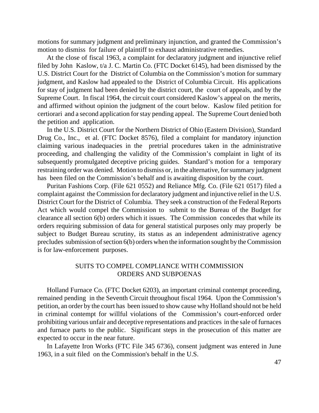motions for summary judgment and preliminary injunction, and granted the Commission's motion to dismiss for failure of plaintiff to exhaust administrative remedies.

At the close of fiscal 1963, a complaint for declaratory judgment and injunctive relief filed by John Kaslow, t/a J. C. Martin Co. (FTC Docket 6145), had been dismissed by the U.S. District Court for the District of Columbia on the Commission's motion for summary judgment, and Kaslow had appealed to the District of Columbia Circuit. His applications for stay of judgment had been denied by the district court, the court of appeals, and by the Supreme Court. In fiscal 1964, the circuit court considered Kaslow's appeal on the merits, and affirmed without opinion the judgment of the court below. Kaslow filed petition for certiorari and a second application for stay pending appeal. The Supreme Court denied both the petition and application.

In the U.S. District Court for the Northern District of Ohio (Eastern Division), Standard Drug Co., Inc., et al. (FTC Docket 8576), filed a complaint for mandatory injunction claiming various inadequacies in the pretrial procedures taken in the administrative proceeding, and challenging the validity of the Commission's complaint in light of its subsequently promulgated deceptive pricing guides. Standard's motion for a temporary restraining order was denied. Motion to dismiss or, in the alternative, for summary judgment has been filed on the Commission's behalf and is awaiting disposition by the court.

Puritan Fashions Corp. (File 621 0552) and Reliance Mfg. Co. (File 621 0517) filed a complaint against the Commission for declaratory judgment and injunctive relief in the U.S. District Court for the District of Columbia. They seek a construction of the Federal Reports Act which would compel the Commission to submit to the Bureau of the Budget for clearance all section 6(b) orders which it issues. The Commission concedes that while its orders requiring submission of data for general statistical purposes only may properly be subject to Budget Bureau scrutiny, its status as an independent administrative agency precludes submission of section 6(b) orders when the information sought by the Commission is for law-enforcement purposes.

#### SUITS TO COMPEL COMPLIANCE WITH COMMISSION ORDERS AND SUBPOENAS

Holland Furnace Co. (FTC Docket 6203), an important criminal contempt proceeding, remained pending in the Seventh Circuit throughout fiscal 1964. Upon the Commission's petition, an order by the court has been issued to show cause why Holland should not be held in criminal contempt for willful violations of the Commission's court-enforced order prohibiting various unfair and deceptive representations and practices in the sale of furnaces and furnace parts to the public. Significant steps in the prosecution of this matter are expected to occur in the near future.

In Lafayette Iron Works (FTC File 345 6736), consent judgment was entered in June 1963, in a suit filed on the Commission's behalf in the U.S.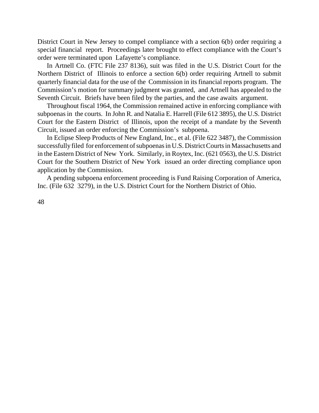District Court in New Jersey to compel compliance with a section 6(b) order requiring a special financial report. Proceedings later brought to effect compliance with the Court's order were terminated upon Lafayette's compliance.

In Artnell Co. (FTC File 237 8136), suit was filed in the U.S. District Court for the Northern District of Illinois to enforce a section 6(b) order requiring Artnell to submit quarterly financial data for the use of the Commission in its financial reports program. The Commission's motion for summary judgment was granted, and Artnell has appealed to the Seventh Circuit. Briefs have been filed by the parties, and the case awaits argument.

Throughout fiscal 1964, the Commission remained active in enforcing compliance with subpoenas in the courts. In John R. and Natalia E. Harrell (File 612 3895), the U.S. District Court for the Eastern District of Illinois, upon the receipt of a mandate by the Seventh Circuit, issued an order enforcing the Commission's subpoena.

In Eclipse Sleep Products of New England, Inc., et al. (File 622 3487), the Commission successfully filed for enforcement of subpoenas in U.S. District Courts in Massachusetts and in the Eastern District of New York. Similarly, in Roytex, Inc. (621 0563), the U.S. District Court for the Southern District of New York issued an order directing compliance upon application by the Commission.

A pending subpoena enforcement proceeding is Fund Raising Corporation of America, Inc. (File 632 3279), in the U.S. District Court for the Northern District of Ohio.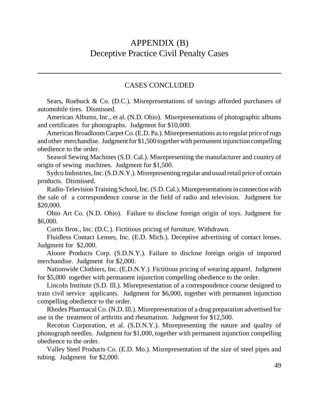## APPENDIX (B) Deceptive Practice Civil Penalty Cases

#### CASES CONCLUDED

Sears, Roebuck & Co. (D.C.). Misrepresentations of savings afforded purchasers of automobile tires. Dismissed.

American Albums, Inc., et al. (N.D. Ohio). Misrepresentations of photographic albums and certificates for photographs. Judgment for \$10,000.

American Broadloom Carpet Co. (E.D. Pa.). Misrepresentations as to regular price of rugs and other merchandise. Judgment for \$1,500 together with permanent injunction compelling obedience to the order.

Seawol Sewing Machines (S.D. Cal.). Misrepresenting the manufacturer and country of origin of sewing machines. Judgment for \$1,500.

Sydco Industries, Inc. (S.D.N.Y.). Misrepresenting regular and usual retail price of certain products. Dismissed.

Radio-Television Training School, Inc. (S.D. Cal.). Misrepresentations in connection with the sale of a correspondence course in the field of radio and television. Judgment for \$20,000.

Ohio Art Co. (N.D. Ohio). Failure to disclose foreign origin of toys. Judgment for \$6,000.

Curtis Bros., Inc. (D.C.). Fictitious pricing of furniture. Withdrawn.

Fluidless Contact Lenses, Inc. (E.D. Mich.). Deceptive advertising of contact lenses. Judgment for \$2,000.

Aloore Products Corp. (S.D.N.Y.). Failure to disclose foreign origin of imported merchandise. Judgment for \$2,000.

Nationwide Clothiers, Inc. (E.D.N.Y.). Fictitious pricing of wearing apparel. Judgment for \$5,000 together with permanent injunction compelling obedience to the order.

Lincoln Institute (S.D. Ill.). Misrepresentation of a correspondence course designed to train civil service applicants. Judgment for \$6,000, together with permanent injunction compelling obedience to the order.

Rhodes PharmacalCo. (N.D. Ill.). Misrepresentation of a drug preparation advertised for use in the treatment of arthritis and rheumatism. Judgment for \$12,500.

Recoton Corporation, et al. (S.D.N.Y.). Misrepresenting the nature and quality of phonograph needles. Judgment for \$1,000, together with permanent injunction compelling obedience to the order.

Valley Steel Products Co. (E.D. Mo.). Misrepresentation of the size of steel pipes and tubing. Judgment for \$2,000.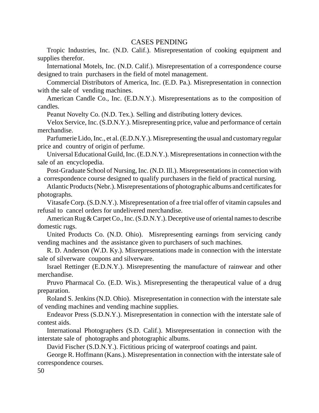#### CASES PENDING

Tropic Industries, Inc. (N.D. Calif.). Misrepresentation of cooking equipment and supplies therefor.

International Motels, Inc. (N.D. Calif.). Misrepresentation of a correspondence course designed to train purchasers in the field of motel management.

Commercial Distributors of America, Inc. (E.D. Pa.). Misrepresentation in connection with the sale of vending machines.

American Candle Co., Inc. (E.D.N.Y.). Misrepresentations as to the composition of candles.

Peanut Novelty Co. (N.D. Tex.). Selling and distributing lottery devices.

Velox Service, Inc. (S.D.N.Y.). Misrepresenting price, value and performance of certain merchandise.

Parfumerie Lido, Inc., et al. (E.D.N.Y.). Misrepresenting the usual and customary regular price and country of origin of perfume.

Universal Educational Guild, Inc. (E.D.N.Y.). Misrepresentations in connection with the sale of an encyclopedia.

Post-Graduate School of Nursing, Inc. (N.D. Ill.). Misrepresentations in connection with a correspondence course designed to qualify purchasers in the field of practical nursing.

Atlantic Products(Nebr.). Misrepresentations of photographic albums and certificates for photographs.

Vitasafe Corp. (S.D.N.Y.). Misrepresentation of a free trial offer of vitamin capsules and refusal to cancel orders for undelivered merchandise.

American Rug & Carpet Co., Inc. (S.D.N.Y.). Deceptive use of oriental names to describe domestic rugs.

United Products Co. (N.D. Ohio). Misrepresenting earnings from servicing candy vending machines and the assistance given to purchasers of such machines.

R. D. Anderson (W.D. Ky.). Misrepresentations made in connection with the interstate sale of silverware coupons and silverware.

Israel Rettinger (E.D.N.Y.). Misrepresenting the manufacture of rainwear and other merchandise.

Pruvo Pharmacal Co. (E.D. Wis.). Misrepresenting the therapeutical value of a drug preparation.

Roland S. Jenkins (N.D. Ohio). Misrepresentation in connection with the interstate sale of vending machines and vending machine supplies.

Endeavor Press (S.D.N.Y.). Misrepresentation in connection with the interstate sale of contest aids.

International Photographers (S.D. Calif.). Misrepresentation in connection with the interstate sale of photographs and photographic albums.

David Fischer (S.D.N.Y.). Fictitious pricing of waterproof coatings and paint.

George R. Hoffmann (Kans.). Misrepresentation in connection with the interstate sale of correspondence courses.